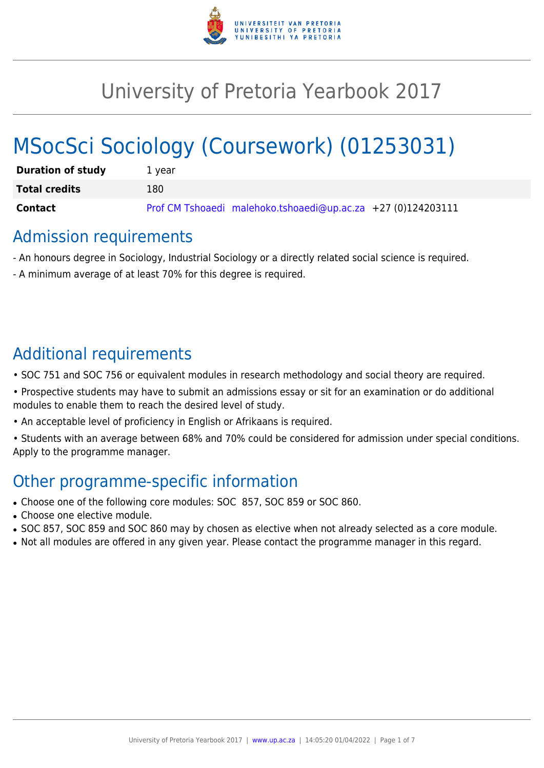

# University of Pretoria Yearbook 2017

# MSocSci Sociology (Coursework) (01253031)

| <b>Duration of study</b> | 1 vear                                                       |
|--------------------------|--------------------------------------------------------------|
| <b>Total credits</b>     | 180                                                          |
| <b>Contact</b>           | Prof CM Tshoaedi malehoko.tshoaedi@up.ac.za +27 (0)124203111 |

# Admission requirements

- An honours degree in Sociology, Industrial Sociology or a directly related social science is required.
- A minimum average of at least 70% for this degree is required.

# Additional requirements

- SOC 751 and SOC 756 or equivalent modules in research methodology and social theory are required.
- Prospective students may have to submit an admissions essay or sit for an examination or do additional modules to enable them to reach the desired level of study.
- An acceptable level of proficiency in English or Afrikaans is required.
- Students with an average between 68% and 70% could be considered for admission under special conditions. Apply to the programme manager.

# Other programme-specific information

- Choose one of the following core modules: SOC 857, SOC 859 or SOC 860.
- Choose one elective module.
- SOC 857, SOC 859 and SOC 860 may by chosen as elective when not already selected as a core module.
- Not all modules are offered in any given year. Please contact the programme manager in this regard.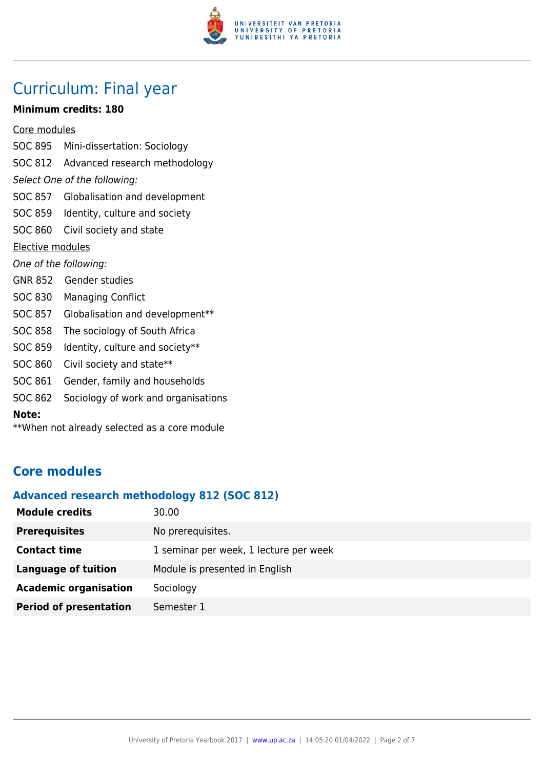

# Curriculum: Final year

#### **Minimum credits: 180**

Core modules

- SOC 895 Mini-dissertation: Sociology SOC 812 Advanced research methodology Select One of the following: SOC 857 Globalisation and development SOC 859 Identity, culture and society SOC 860 Civil society and state Elective modules One of the following: GNR 852 Gender studies SOC 830 Managing Conflict SOC 857 Globalisation and development\*\* SOC 858 The sociology of South Africa SOC 859 Identity, culture and society\*\* SOC 860 Civil society and state\*\* SOC 861 Gender, family and households SOC 862 Sociology of work and organisations
- **Note:**
- \*\*When not already selected as a core module

# **Core modules**

#### **Advanced research methodology 812 (SOC 812)**

| <b>Module credits</b>         | 30.00                                  |
|-------------------------------|----------------------------------------|
| <b>Prerequisites</b>          | No prerequisites.                      |
| <b>Contact time</b>           | 1 seminar per week, 1 lecture per week |
| <b>Language of tuition</b>    | Module is presented in English         |
| <b>Academic organisation</b>  | Sociology                              |
| <b>Period of presentation</b> | Semester 1                             |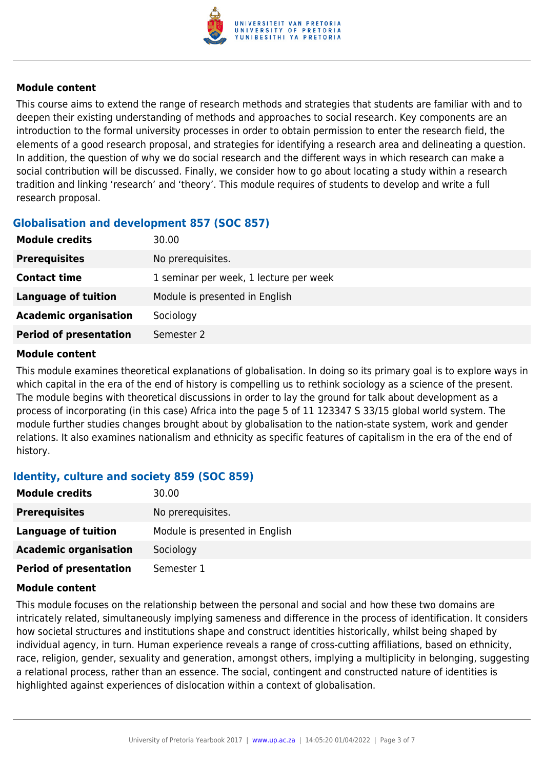

#### **Module content**

This course aims to extend the range of research methods and strategies that students are familiar with and to deepen their existing understanding of methods and approaches to social research. Key components are an introduction to the formal university processes in order to obtain permission to enter the research field, the elements of a good research proposal, and strategies for identifying a research area and delineating a question. In addition, the question of why we do social research and the different ways in which research can make a social contribution will be discussed. Finally, we consider how to go about locating a study within a research tradition and linking 'research' and 'theory'. This module requires of students to develop and write a full research proposal.

# **Globalisation and development 857 (SOC 857)**

| <b>Module credits</b>         | 30.00                                  |
|-------------------------------|----------------------------------------|
| <b>Prerequisites</b>          | No prerequisites.                      |
| <b>Contact time</b>           | 1 seminar per week, 1 lecture per week |
| Language of tuition           | Module is presented in English         |
| <b>Academic organisation</b>  | Sociology                              |
| <b>Period of presentation</b> | Semester 2                             |

#### **Module content**

This module examines theoretical explanations of globalisation. In doing so its primary goal is to explore ways in which capital in the era of the end of history is compelling us to rethink sociology as a science of the present. The module begins with theoretical discussions in order to lay the ground for talk about development as a process of incorporating (in this case) Africa into the page 5 of 11 123347 S 33/15 global world system. The module further studies changes brought about by globalisation to the nation-state system, work and gender relations. It also examines nationalism and ethnicity as specific features of capitalism in the era of the end of history.

# **Identity, culture and society 859 (SOC 859)**

| <b>Module credits</b>         | 30.00                          |
|-------------------------------|--------------------------------|
| <b>Prerequisites</b>          | No prerequisites.              |
| Language of tuition           | Module is presented in English |
| <b>Academic organisation</b>  | Sociology                      |
| <b>Period of presentation</b> | Semester 1                     |

#### **Module content**

This module focuses on the relationship between the personal and social and how these two domains are intricately related, simultaneously implying sameness and difference in the process of identification. It considers how societal structures and institutions shape and construct identities historically, whilst being shaped by individual agency, in turn. Human experience reveals a range of cross-cutting affiliations, based on ethnicity, race, religion, gender, sexuality and generation, amongst others, implying a multiplicity in belonging, suggesting a relational process, rather than an essence. The social, contingent and constructed nature of identities is highlighted against experiences of dislocation within a context of globalisation.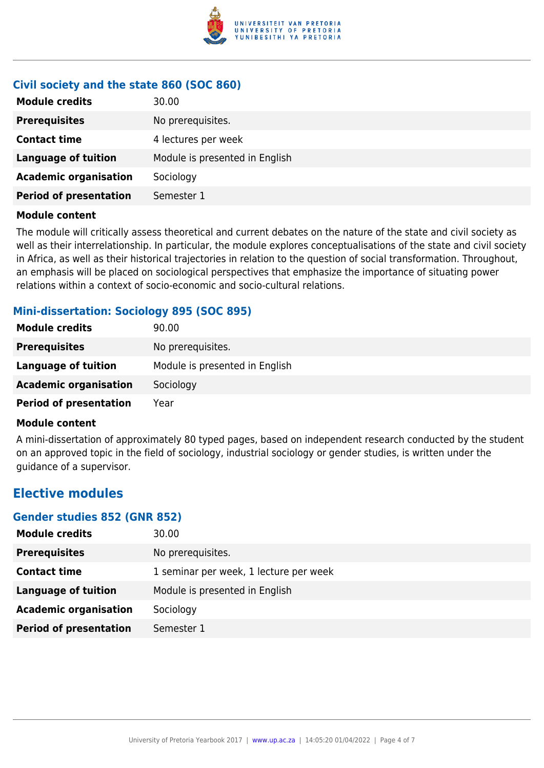

# **Civil society and the state 860 (SOC 860)**

| <b>Module credits</b>         | 30.00                          |
|-------------------------------|--------------------------------|
| <b>Prerequisites</b>          | No prerequisites.              |
| <b>Contact time</b>           | 4 lectures per week            |
| <b>Language of tuition</b>    | Module is presented in English |
| <b>Academic organisation</b>  | Sociology                      |
| <b>Period of presentation</b> | Semester 1                     |

#### **Module content**

The module will critically assess theoretical and current debates on the nature of the state and civil society as well as their interrelationship. In particular, the module explores conceptualisations of the state and civil society in Africa, as well as their historical trajectories in relation to the question of social transformation. Throughout, an emphasis will be placed on sociological perspectives that emphasize the importance of situating power relations within a context of socio-economic and socio-cultural relations.

# **Mini-dissertation: Sociology 895 (SOC 895)**

| <b>Module credits</b>         | 90.00                          |
|-------------------------------|--------------------------------|
| <b>Prerequisites</b>          | No prerequisites.              |
| Language of tuition           | Module is presented in English |
| <b>Academic organisation</b>  | Sociology                      |
| <b>Period of presentation</b> | Year                           |

#### **Module content**

A mini-dissertation of approximately 80 typed pages, based on independent research conducted by the student on an approved topic in the field of sociology, industrial sociology or gender studies, is written under the guidance of a supervisor.

# **Elective modules**

#### **Gender studies 852 (GNR 852)**

| <b>Module credits</b>         | 30.00                                  |
|-------------------------------|----------------------------------------|
| <b>Prerequisites</b>          | No prerequisites.                      |
| <b>Contact time</b>           | 1 seminar per week, 1 lecture per week |
| <b>Language of tuition</b>    | Module is presented in English         |
| <b>Academic organisation</b>  | Sociology                              |
| <b>Period of presentation</b> | Semester 1                             |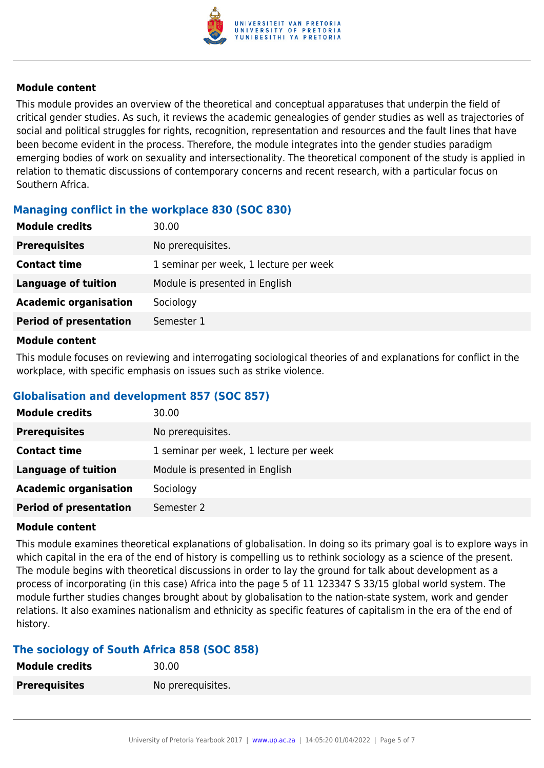

#### **Module content**

This module provides an overview of the theoretical and conceptual apparatuses that underpin the field of critical gender studies. As such, it reviews the academic genealogies of gender studies as well as trajectories of social and political struggles for rights, recognition, representation and resources and the fault lines that have been become evident in the process. Therefore, the module integrates into the gender studies paradigm emerging bodies of work on sexuality and intersectionality. The theoretical component of the study is applied in relation to thematic discussions of contemporary concerns and recent research, with a particular focus on Southern Africa.

# **Managing conflict in the workplace 830 (SOC 830)**

| <b>Module credits</b>         | 30.00                                  |
|-------------------------------|----------------------------------------|
| <b>Prerequisites</b>          | No prerequisites.                      |
| <b>Contact time</b>           | 1 seminar per week, 1 lecture per week |
| Language of tuition           | Module is presented in English         |
| <b>Academic organisation</b>  | Sociology                              |
| <b>Period of presentation</b> | Semester 1                             |
|                               |                                        |

#### **Module content**

This module focuses on reviewing and interrogating sociological theories of and explanations for conflict in the workplace, with specific emphasis on issues such as strike violence.

# **Globalisation and development 857 (SOC 857)**

| <b>Module credits</b>         | 30.00                                  |
|-------------------------------|----------------------------------------|
| <b>Prerequisites</b>          | No prerequisites.                      |
| <b>Contact time</b>           | 1 seminar per week, 1 lecture per week |
| <b>Language of tuition</b>    | Module is presented in English         |
| <b>Academic organisation</b>  | Sociology                              |
| <b>Period of presentation</b> | Semester 2                             |

#### **Module content**

This module examines theoretical explanations of globalisation. In doing so its primary goal is to explore ways in which capital in the era of the end of history is compelling us to rethink sociology as a science of the present. The module begins with theoretical discussions in order to lay the ground for talk about development as a process of incorporating (in this case) Africa into the page 5 of 11 123347 S 33/15 global world system. The module further studies changes brought about by globalisation to the nation-state system, work and gender relations. It also examines nationalism and ethnicity as specific features of capitalism in the era of the end of history.

# **The sociology of South Africa 858 (SOC 858)**

| <b>Module credits</b> | 30.00             |
|-----------------------|-------------------|
| <b>Prerequisites</b>  | No prerequisites. |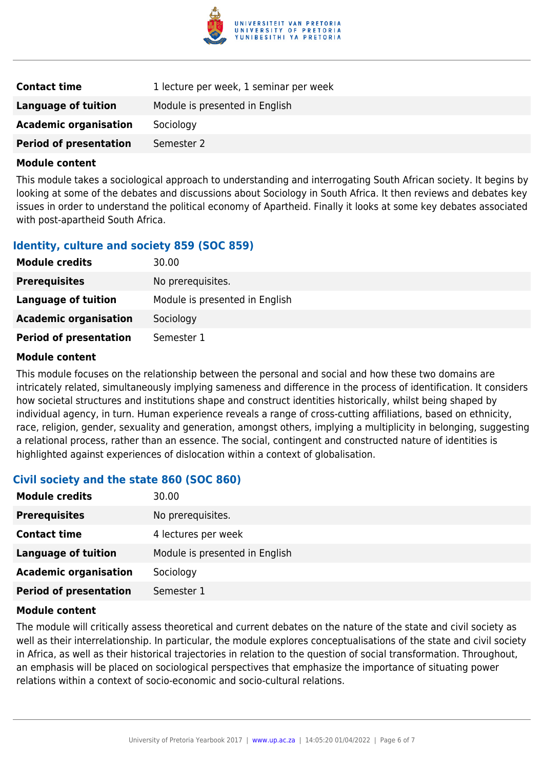

| <b>Contact time</b>           | 1 lecture per week, 1 seminar per week |
|-------------------------------|----------------------------------------|
| Language of tuition           | Module is presented in English         |
| <b>Academic organisation</b>  | Sociology                              |
| <b>Period of presentation</b> | Semester 2                             |

#### **Module content**

This module takes a sociological approach to understanding and interrogating South African society. It begins by looking at some of the debates and discussions about Sociology in South Africa. It then reviews and debates key issues in order to understand the political economy of Apartheid. Finally it looks at some key debates associated with post-apartheid South Africa.

# **Identity, culture and society 859 (SOC 859)**

| <b>Module credits</b>         | 30.00                          |
|-------------------------------|--------------------------------|
| <b>Prerequisites</b>          | No prerequisites.              |
| Language of tuition           | Module is presented in English |
| <b>Academic organisation</b>  | Sociology                      |
| <b>Period of presentation</b> | Semester 1                     |

#### **Module content**

This module focuses on the relationship between the personal and social and how these two domains are intricately related, simultaneously implying sameness and difference in the process of identification. It considers how societal structures and institutions shape and construct identities historically, whilst being shaped by individual agency, in turn. Human experience reveals a range of cross-cutting affiliations, based on ethnicity, race, religion, gender, sexuality and generation, amongst others, implying a multiplicity in belonging, suggesting a relational process, rather than an essence. The social, contingent and constructed nature of identities is highlighted against experiences of dislocation within a context of globalisation.

# **Civil society and the state 860 (SOC 860)**

| <b>Module credits</b>         | 30.00                          |
|-------------------------------|--------------------------------|
| <b>Prerequisites</b>          | No prerequisites.              |
| <b>Contact time</b>           | 4 lectures per week            |
| <b>Language of tuition</b>    | Module is presented in English |
| <b>Academic organisation</b>  | Sociology                      |
| <b>Period of presentation</b> | Semester 1                     |

#### **Module content**

The module will critically assess theoretical and current debates on the nature of the state and civil society as well as their interrelationship. In particular, the module explores conceptualisations of the state and civil society in Africa, as well as their historical trajectories in relation to the question of social transformation. Throughout, an emphasis will be placed on sociological perspectives that emphasize the importance of situating power relations within a context of socio-economic and socio-cultural relations.